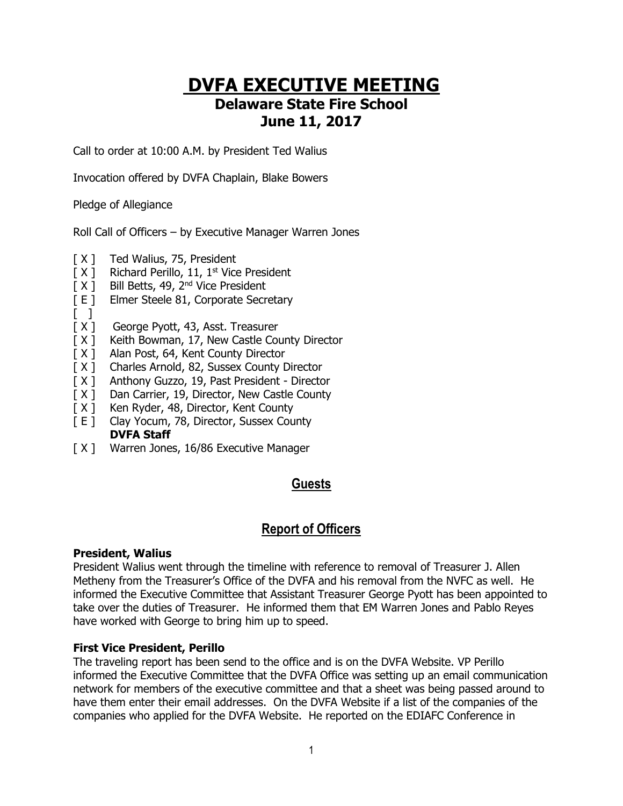# **DVFA EXECUTIVE MEETING Delaware State Fire School June 11, 2017**

Call to order at 10:00 A.M. by President Ted Walius

Invocation offered by DVFA Chaplain, Blake Bowers

Pledge of Allegiance

Roll Call of Officers – by Executive Manager Warren Jones

- [ X ] Ted Walius, 75, President
- [X] Richard Perillo, 11, 1<sup>st</sup> Vice President
- [ X ] Bill Betts, 49, 2<sup>nd</sup> Vice President
- [ E ] Elmer Steele 81, Corporate Secretary
- $\Box$
- [ X ] George Pyott, 43, Asst. Treasurer
- [ $X$ ] Keith Bowman, 17, New Castle County Director
- [ $X$ ] Alan Post, 64, Kent County Director
- [ $X$ ] Charles Arnold, 82, Sussex County Director
- [ X ] Anthony Guzzo, 19, Past President Director
- [ X ] Dan Carrier, 19, Director, New Castle County
- [ X ] Ken Ryder, 48, Director, Kent County
- [ E ] Clay Yocum, 78, Director, Sussex County **DVFA Staff**
- [ X ] Warren Jones, 16/86 Executive Manager

# **Guests**

# **Report of Officers**

#### **President, Walius**

President Walius went through the timeline with reference to removal of Treasurer J. Allen Metheny from the Treasurer's Office of the DVFA and his removal from the NVFC as well. He informed the Executive Committee that Assistant Treasurer George Pyott has been appointed to take over the duties of Treasurer. He informed them that EM Warren Jones and Pablo Reyes have worked with George to bring him up to speed.

#### **First Vice President, Perillo**

The traveling report has been send to the office and is on the DVFA Website. VP Perillo informed the Executive Committee that the DVFA Office was setting up an email communication network for members of the executive committee and that a sheet was being passed around to have them enter their email addresses. On the DVFA Website if a list of the companies of the companies who applied for the DVFA Website. He reported on the EDIAFC Conference in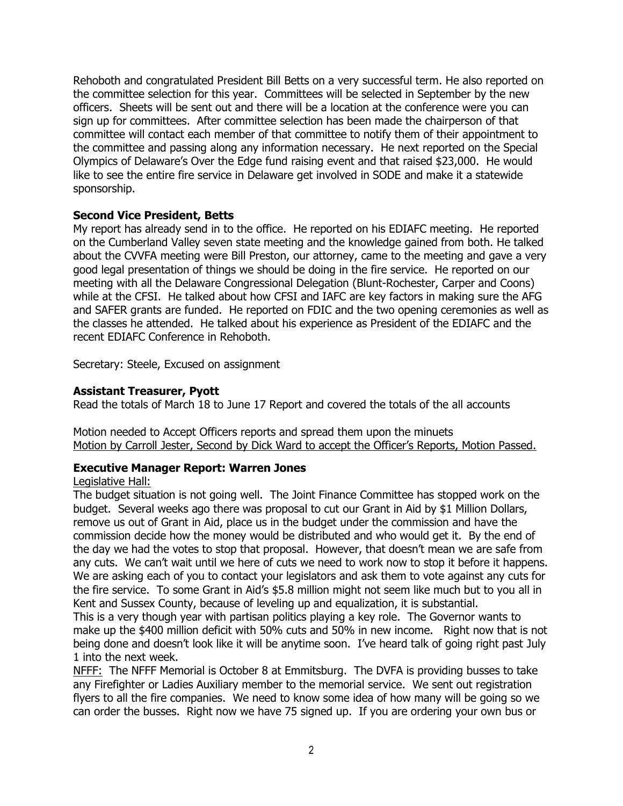Rehoboth and congratulated President Bill Betts on a very successful term. He also reported on the committee selection for this year. Committees will be selected in September by the new officers. Sheets will be sent out and there will be a location at the conference were you can sign up for committees. After committee selection has been made the chairperson of that committee will contact each member of that committee to notify them of their appointment to the committee and passing along any information necessary. He next reported on the Special Olympics of Delaware's Over the Edge fund raising event and that raised \$23,000. He would like to see the entire fire service in Delaware get involved in SODE and make it a statewide sponsorship.

#### **Second Vice President, Betts**

My report has already send in to the office. He reported on his EDIAFC meeting. He reported on the Cumberland Valley seven state meeting and the knowledge gained from both. He talked about the CVVFA meeting were Bill Preston, our attorney, came to the meeting and gave a very good legal presentation of things we should be doing in the fire service. He reported on our meeting with all the Delaware Congressional Delegation (Blunt-Rochester, Carper and Coons) while at the CFSI. He talked about how CFSI and IAFC are key factors in making sure the AFG and SAFER grants are funded. He reported on FDIC and the two opening ceremonies as well as the classes he attended. He talked about his experience as President of the EDIAFC and the recent EDIAFC Conference in Rehoboth.

Secretary: Steele, Excused on assignment

#### **Assistant Treasurer, Pyott**

Read the totals of March 18 to June 17 Report and covered the totals of the all accounts

Motion needed to Accept Officers reports and spread them upon the minuets Motion by Carroll Jester, Second by Dick Ward to accept the Officer's Reports, Motion Passed.

### **Executive Manager Report: Warren Jones**

#### Legislative Hall:

The budget situation is not going well. The Joint Finance Committee has stopped work on the budget. Several weeks ago there was proposal to cut our Grant in Aid by \$1 Million Dollars, remove us out of Grant in Aid, place us in the budget under the commission and have the commission decide how the money would be distributed and who would get it. By the end of the day we had the votes to stop that proposal. However, that doesn't mean we are safe from any cuts. We can't wait until we here of cuts we need to work now to stop it before it happens. We are asking each of you to contact your legislators and ask them to vote against any cuts for the fire service. To some Grant in Aid's \$5.8 million might not seem like much but to you all in Kent and Sussex County, because of leveling up and equalization, it is substantial.

This is a very though year with partisan politics playing a key role. The Governor wants to make up the \$400 million deficit with 50% cuts and 50% in new income. Right now that is not being done and doesn't look like it will be anytime soon. I've heard talk of going right past July 1 into the next week.

NFFF: The NFFF Memorial is October 8 at Emmitsburg. The DVFA is providing busses to take any Firefighter or Ladies Auxiliary member to the memorial service. We sent out registration flyers to all the fire companies. We need to know some idea of how many will be going so we can order the busses. Right now we have 75 signed up. If you are ordering your own bus or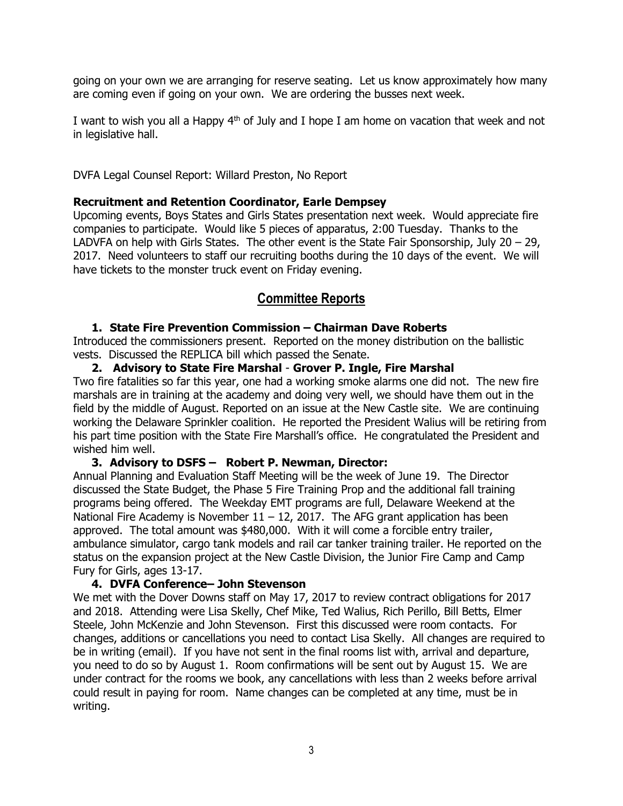going on your own we are arranging for reserve seating. Let us know approximately how many are coming even if going on your own. We are ordering the busses next week.

I want to wish you all a Happy 4<sup>th</sup> of July and I hope I am home on vacation that week and not in legislative hall.

DVFA Legal Counsel Report: Willard Preston, No Report

#### **Recruitment and Retention Coordinator, Earle Dempsey**

Upcoming events, Boys States and Girls States presentation next week. Would appreciate fire companies to participate. Would like 5 pieces of apparatus, 2:00 Tuesday. Thanks to the LADVFA on help with Girls States. The other event is the State Fair Sponsorship, July 20 – 29, 2017. Need volunteers to staff our recruiting booths during the 10 days of the event. We will have tickets to the monster truck event on Friday evening.

## **Committee Reports**

#### **1. State Fire Prevention Commission – Chairman Dave Roberts**

Introduced the commissioners present. Reported on the money distribution on the ballistic vests. Discussed the REPLICA bill which passed the Senate.

#### **2. Advisory to State Fire Marshal** - **Grover P. Ingle, Fire Marshal**

Two fire fatalities so far this year, one had a working smoke alarms one did not. The new fire marshals are in training at the academy and doing very well, we should have them out in the field by the middle of August. Reported on an issue at the New Castle site. We are continuing working the Delaware Sprinkler coalition. He reported the President Walius will be retiring from his part time position with the State Fire Marshall's office. He congratulated the President and wished him well.

#### **3. Advisory to DSFS – Robert P. Newman, Director:**

Annual Planning and Evaluation Staff Meeting will be the week of June 19. The Director discussed the State Budget, the Phase 5 Fire Training Prop and the additional fall training programs being offered. The Weekday EMT programs are full, Delaware Weekend at the National Fire Academy is November  $11 - 12$ , 2017. The AFG grant application has been approved. The total amount was \$480,000. With it will come a forcible entry trailer, ambulance simulator, cargo tank models and rail car tanker training trailer. He reported on the status on the expansion project at the New Castle Division, the Junior Fire Camp and Camp Fury for Girls, ages 13-17.

#### **4. DVFA Conference– John Stevenson**

We met with the Dover Downs staff on May 17, 2017 to review contract obligations for 2017 and 2018. Attending were Lisa Skelly, Chef Mike, Ted Walius, Rich Perillo, Bill Betts, Elmer Steele, John McKenzie and John Stevenson. First this discussed were room contacts. For changes, additions or cancellations you need to contact Lisa Skelly. All changes are required to be in writing (email). If you have not sent in the final rooms list with, arrival and departure, you need to do so by August 1. Room confirmations will be sent out by August 15. We are under contract for the rooms we book, any cancellations with less than 2 weeks before arrival could result in paying for room. Name changes can be completed at any time, must be in writing.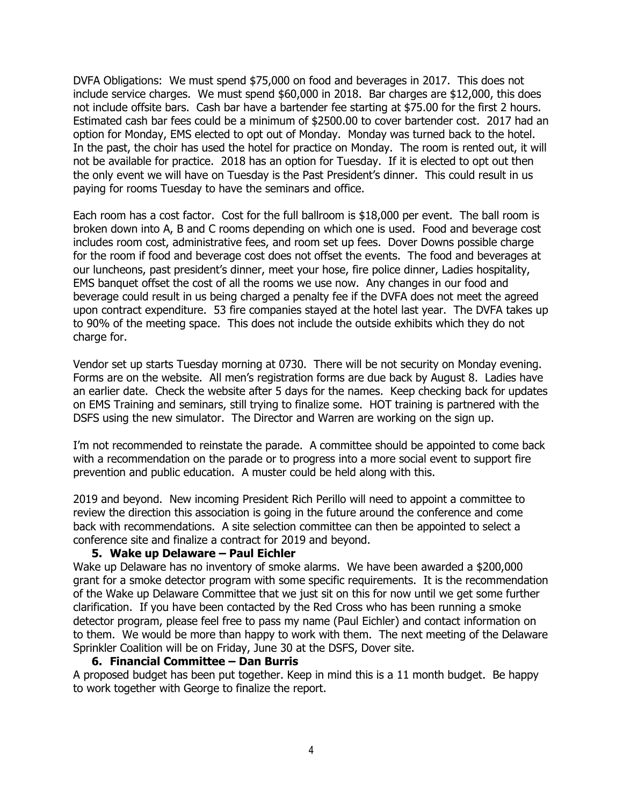DVFA Obligations: We must spend \$75,000 on food and beverages in 2017. This does not include service charges. We must spend \$60,000 in 2018. Bar charges are \$12,000, this does not include offsite bars. Cash bar have a bartender fee starting at \$75.00 for the first 2 hours. Estimated cash bar fees could be a minimum of \$2500.00 to cover bartender cost. 2017 had an option for Monday, EMS elected to opt out of Monday. Monday was turned back to the hotel. In the past, the choir has used the hotel for practice on Monday. The room is rented out, it will not be available for practice. 2018 has an option for Tuesday. If it is elected to opt out then the only event we will have on Tuesday is the Past President's dinner. This could result in us paying for rooms Tuesday to have the seminars and office.

Each room has a cost factor. Cost for the full ballroom is \$18,000 per event. The ball room is broken down into A, B and C rooms depending on which one is used. Food and beverage cost includes room cost, administrative fees, and room set up fees. Dover Downs possible charge for the room if food and beverage cost does not offset the events. The food and beverages at our luncheons, past president's dinner, meet your hose, fire police dinner, Ladies hospitality, EMS banquet offset the cost of all the rooms we use now. Any changes in our food and beverage could result in us being charged a penalty fee if the DVFA does not meet the agreed upon contract expenditure. 53 fire companies stayed at the hotel last year. The DVFA takes up to 90% of the meeting space. This does not include the outside exhibits which they do not charge for.

Vendor set up starts Tuesday morning at 0730. There will be not security on Monday evening. Forms are on the website. All men's registration forms are due back by August 8. Ladies have an earlier date. Check the website after 5 days for the names. Keep checking back for updates on EMS Training and seminars, still trying to finalize some. HOT training is partnered with the DSFS using the new simulator. The Director and Warren are working on the sign up.

I'm not recommended to reinstate the parade. A committee should be appointed to come back with a recommendation on the parade or to progress into a more social event to support fire prevention and public education. A muster could be held along with this.

2019 and beyond. New incoming President Rich Perillo will need to appoint a committee to review the direction this association is going in the future around the conference and come back with recommendations. A site selection committee can then be appointed to select a conference site and finalize a contract for 2019 and beyond.

#### **5. Wake up Delaware – Paul Eichler**

Wake up Delaware has no inventory of smoke alarms. We have been awarded a \$200,000 grant for a smoke detector program with some specific requirements. It is the recommendation of the Wake up Delaware Committee that we just sit on this for now until we get some further clarification. If you have been contacted by the Red Cross who has been running a smoke detector program, please feel free to pass my name (Paul Eichler) and contact information on to them. We would be more than happy to work with them. The next meeting of the Delaware Sprinkler Coalition will be on Friday, June 30 at the DSFS, Dover site.

#### **6. Financial Committee – Dan Burris**

A proposed budget has been put together. Keep in mind this is a 11 month budget. Be happy to work together with George to finalize the report.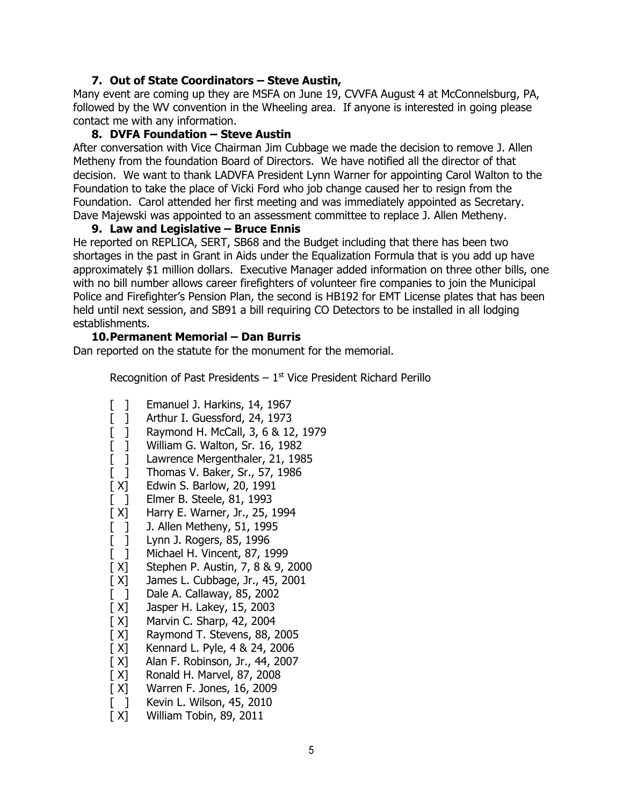#### **7. Out of State Coordinators – Steve Austin,**

Many event are coming up they are MSFA on June 19, CVVFA August 4 at McConnelsburg, PA, followed by the WV convention in the Wheeling area. If anyone is interested in going please contact me with any information.

#### **8. DVFA Foundation – Steve Austin**

After conversation with Vice Chairman Jim Cubbage we made the decision to remove J. Allen Metheny from the foundation Board of Directors. We have notified all the director of that decision. We want to thank LADVFA President Lynn Warner for appointing Carol Walton to the Foundation to take the place of Vicki Ford who job change caused her to resign from the Foundation. Carol attended her first meeting and was immediately appointed as Secretary. Dave Majewski was appointed to an assessment committee to replace J. Allen Metheny.

#### **9. Law and Legislative – Bruce Ennis**

He reported on REPLICA, SERT, SB68 and the Budget including that there has been two shortages in the past in Grant in Aids under the Equalization Formula that is you add up have approximately \$1 million dollars. Executive Manager added information on three other bills, one with no bill number allows career firefighters of volunteer fire companies to join the Municipal Police and Firefighter's Pension Plan, the second is HB192 for EMT License plates that has been held until next session, and SB91 a bill requiring CO Detectors to be installed in all lodging establishments.

#### **10.Permanent Memorial – Dan Burris**

Dan reported on the statute for the monument for the memorial.

Recognition of Past Presidents  $-1$ <sup>st</sup> Vice President Richard Perillo

- [ ] Emanuel J. Harkins, 14, 1967
- [ ] Arthur I. Guessford, 24, 1973
- [ ] Raymond H. McCall, 3, 6 & 12, 1979
- [ ] William G. Walton, Sr. 16, 1982
- [] Lawrence Mergenthaler, 21, 1985
- [ ] Thomas V. Baker, Sr., 57, 1986
- [ X] Edwin S. Barlow, 20, 1991
- [ ] Elmer B. Steele, 81, 1993
- [ X] Harry E. Warner, Jr., 25, 1994
- [ ] J. Allen Metheny, 51, 1995
- [ ] Lynn J. Rogers, 85, 1996
- [ ] Michael H. Vincent, 87, 1999
- [ X] Stephen P. Austin, 7, 8 & 9, 2000
- [ X] James L. Cubbage, Jr., 45, 2001
- [ ] Dale A. Callaway, 85, 2002
- [ X] Jasper H. Lakey, 15, 2003
- 
- [ X] Marvin C. Sharp, 42, 2004<br>[ X] Raymond T. Stevens, 88, 2 Raymond T. Stevens, 88, 2005
- [ X] Kennard L. Pyle, 4 & 24, 2006
- [ X] Alan F. Robinson, Jr., 44, 2007
- [ X] Ronald H. Marvel, 87, 2008
- [ X] Warren F. Jones, 16, 2009
- [ ] Kevin L. Wilson, 45, 2010
- [ X] William Tobin, 89, 2011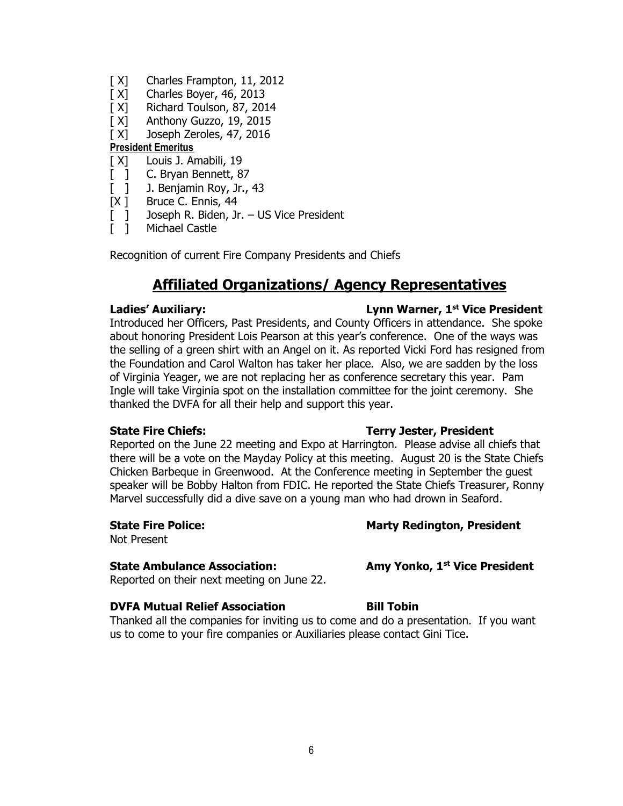- [X] Charles Frampton, 11, 2012
- $[X]$  Charles Boyer, 46, 2013
- [X] Richard Toulson, 87, 2014
- [ X] Anthony Guzzo, 19, 2015
- [X] Joseph Zeroles, 47, 2016

### **President Emeritus**

- [X] Louis J. Amabili, 19
- [ ] C. Bryan Bennett, 87
- [ ] J. Benjamin Roy, Jr., 43
- [X ] Bruce C. Ennis, 44
- [ ] Joseph R. Biden, Jr. US Vice President
- [ ] Michael Castle

Recognition of current Fire Company Presidents and Chiefs

# **Affiliated Organizations/ Agency Representatives**

#### **Ladies' Auxiliary:**

#### Introduced her Officers, Past Presidents, and County Officers in attendance. She spoke about honoring President Lois Pearson at this year's conference. One of the ways was the selling of a green shirt with an Angel on it. As reported Vicki Ford has resigned from the Foundation and Carol Walton has taker her place. Also, we are sadden by the loss of Virginia Yeager, we are not replacing her as conference secretary this year. Pam Ingle will take Virginia spot on the installation committee for the joint ceremony. She thanked the DVFA for all their help and support this year.

#### Reported on the June 22 meeting and Expo at Harrington. Please advise all chiefs that there will be a vote on the Mayday Policy at this meeting. August 20 is the State Chiefs Chicken Barbeque in Greenwood. At the Conference meeting in September the guest speaker will be Bobby Halton from FDIC. He reported the State Chiefs Treasurer, Ronny Marvel successfully did a dive save on a young man who had drown in Seaford.

Not Present

### **State Ambulance Association:**

Reported on their next meeting on June 22.

### **DVFA Mutual Relief Association Bill Tobin**

Thanked all the companies for inviting us to come and do a presentation. If you want us to come to your fire companies or Auxiliaries please contact Gini Tice.

#### **State Fire Chiefs:** Terry Jester, President

**Lynn Warner, 1st Vice President** 

#### **State Fire Police: Marty Redington, President**

**Amy Yonko, 1st Vice President** 

#### 6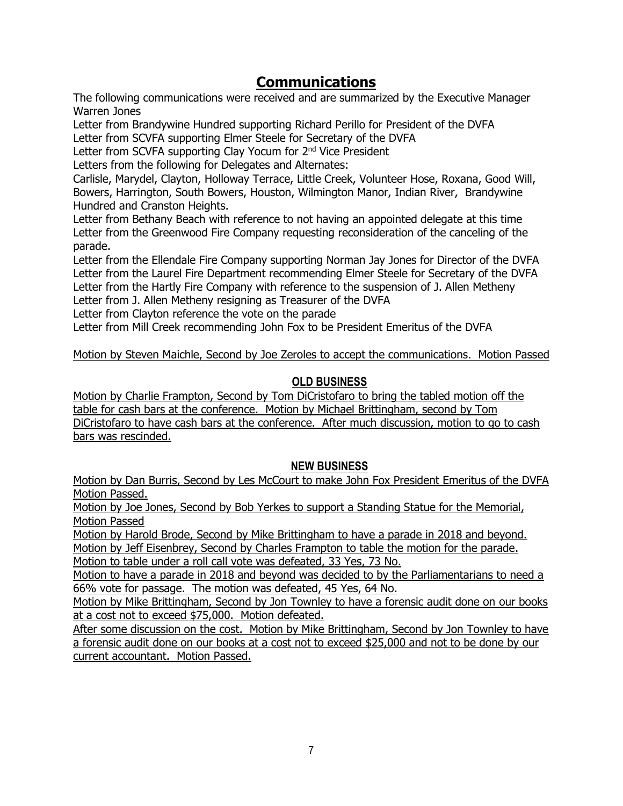# **Communications**

The following communications were received and are summarized by the Executive Manager Warren Jones

Letter from Brandywine Hundred supporting Richard Perillo for President of the DVFA Letter from SCVFA supporting Elmer Steele for Secretary of the DVFA

Letter from SCVFA supporting Clay Yocum for 2<sup>nd</sup> Vice President

Letters from the following for Delegates and Alternates:

Carlisle, Marydel, Clayton, Holloway Terrace, Little Creek, Volunteer Hose, Roxana, Good Will, Bowers, Harrington, South Bowers, Houston, Wilmington Manor, Indian River, Brandywine Hundred and Cranston Heights.

Letter from Bethany Beach with reference to not having an appointed delegate at this time Letter from the Greenwood Fire Company requesting reconsideration of the canceling of the parade.

Letter from the Ellendale Fire Company supporting Norman Jay Jones for Director of the DVFA Letter from the Laurel Fire Department recommending Elmer Steele for Secretary of the DVFA Letter from the Hartly Fire Company with reference to the suspension of J. Allen Metheny Letter from J. Allen Metheny resigning as Treasurer of the DVFA

Letter from Clayton reference the vote on the parade

Letter from Mill Creek recommending John Fox to be President Emeritus of the DVFA

Motion by Steven Maichle, Second by Joe Zeroles to accept the communications. Motion Passed

### **OLD BUSINESS**

Motion by Charlie Frampton, Second by Tom DiCristofaro to bring the tabled motion off the table for cash bars at the conference. Motion by Michael Brittingham, second by Tom DiCristofaro to have cash bars at the conference. After much discussion, motion to go to cash bars was rescinded.

### **NEW BUSINESS**

Motion by Dan Burris, Second by Les McCourt to make John Fox President Emeritus of the DVFA Motion Passed.

Motion by Joe Jones, Second by Bob Yerkes to support a Standing Statue for the Memorial, Motion Passed

Motion by Harold Brode, Second by Mike Brittingham to have a parade in 2018 and beyond. Motion by Jeff Eisenbrey, Second by Charles Frampton to table the motion for the parade.

Motion to table under a roll call vote was defeated, 33 Yes, 73 No.

Motion to have a parade in 2018 and beyond was decided to by the Parliamentarians to need a 66% vote for passage. The motion was defeated, 45 Yes, 64 No.

Motion by Mike Brittingham, Second by Jon Townley to have a forensic audit done on our books at a cost not to exceed \$75,000. Motion defeated.

After some discussion on the cost. Motion by Mike Brittingham, Second by Jon Townley to have a forensic audit done on our books at a cost not to exceed \$25,000 and not to be done by our current accountant. Motion Passed.